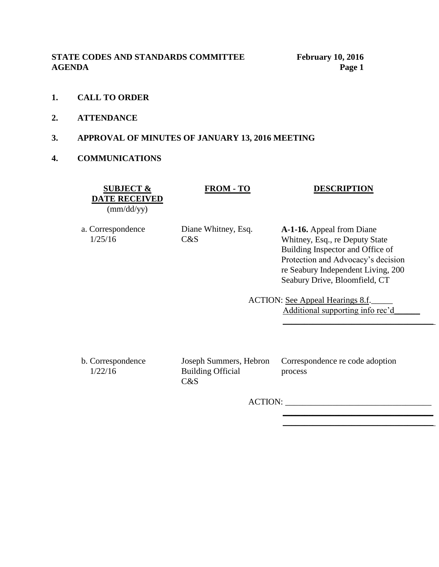**STATE CODES AND STANDARDS COMMITTEE February 10, 2016 AGENDA Page 1**

- **1. CALL TO ORDER**
- **2. ATTENDANCE**
- **3. APPROVAL OF MINUTES OF JANUARY 13, 2016 MEETING**
- **4. COMMUNICATIONS**

**SUBJECT & DATE RECEIVED** (mm/dd/yy)

#### **FROM - TO DESCRIPTION**

a. Correspondence 1/25/16

Diane Whitney, Esq. C&S

**A-1-16.** Appeal from Diane Whitney, Esq., re Deputy State Building Inspector and Office of Protection and Advocacy's decision re Seabury Independent Living, 200 Seabury Drive, Bloomfield, CT

 $\mathcal{L}_\text{max} = \frac{1}{2} \sum_{i=1}^{n} \frac{1}{2} \sum_{i=1}^{n} \frac{1}{2} \sum_{i=1}^{n} \frac{1}{2} \sum_{i=1}^{n} \frac{1}{2} \sum_{i=1}^{n} \frac{1}{2} \sum_{i=1}^{n} \frac{1}{2} \sum_{i=1}^{n} \frac{1}{2} \sum_{i=1}^{n} \frac{1}{2} \sum_{i=1}^{n} \frac{1}{2} \sum_{i=1}^{n} \frac{1}{2} \sum_{i=1}^{n} \frac{1}{2} \sum_{i=1}^{n} \frac{1$ 

ACTION: See Appeal Hearings 8.f. Additional supporting info rec'd\_\_\_\_\_\_

b. Correspondence 1/22/16

Joseph Summers, Hebron Building Official C&S

Correspondence re code adoption process

 $\overline{\phantom{a}}$  ,  $\overline{\phantom{a}}$  ,  $\overline{\phantom{a}}$  ,  $\overline{\phantom{a}}$  ,  $\overline{\phantom{a}}$  ,  $\overline{\phantom{a}}$  ,  $\overline{\phantom{a}}$  ,  $\overline{\phantom{a}}$  ,  $\overline{\phantom{a}}$  ,  $\overline{\phantom{a}}$  ,  $\overline{\phantom{a}}$  ,  $\overline{\phantom{a}}$  ,  $\overline{\phantom{a}}$  ,  $\overline{\phantom{a}}$  ,  $\overline{\phantom{a}}$  ,  $\overline{\phantom{a}}$ 

ACTION: \_\_\_\_\_\_\_\_\_\_\_\_\_\_\_\_\_\_\_\_\_\_\_\_\_\_\_\_\_\_\_\_\_\_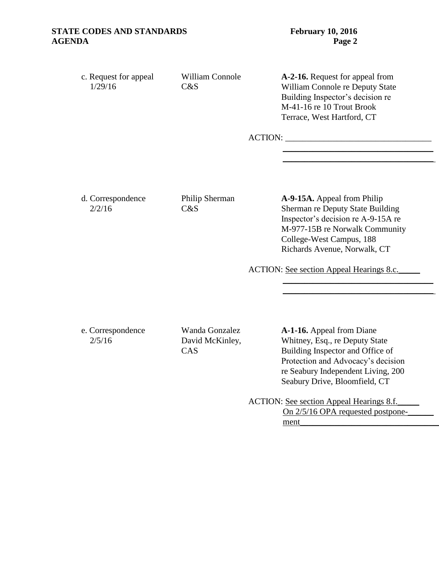c. Request for appeal 1/29/16 William Connole C&S **A-2-16.** Request for appeal from William Connole re Deputy State Building Inspector's decision re M-41-16 re 10 Trout Brook Terrace, West Hartford, CT

ACTION:

d. Correspondence 2/2/16

Philip Sherman C&S

**A-9-15A.** Appeal from Philip Sherman re Deputy State Building Inspector's decision re A-9-15A re M-977-15B re Norwalk Community College-West Campus, 188 Richards Avenue, Norwalk, CT

 $\overline{\phantom{a}}$  , which is a set of the set of the set of the set of the set of the set of the set of the set of the set of the set of the set of the set of the set of the set of the set of the set of the set of the set of th  $\overline{\phantom{a}}$  ,  $\overline{\phantom{a}}$  ,  $\overline{\phantom{a}}$  ,  $\overline{\phantom{a}}$  ,  $\overline{\phantom{a}}$  ,  $\overline{\phantom{a}}$  ,  $\overline{\phantom{a}}$  ,  $\overline{\phantom{a}}$  ,  $\overline{\phantom{a}}$  ,  $\overline{\phantom{a}}$  ,  $\overline{\phantom{a}}$  ,  $\overline{\phantom{a}}$  ,  $\overline{\phantom{a}}$  ,  $\overline{\phantom{a}}$  ,  $\overline{\phantom{a}}$  ,  $\overline{\phantom{a}}$ 

 $\overline{\phantom{a}}$  ,  $\overline{\phantom{a}}$  ,  $\overline{\phantom{a}}$  ,  $\overline{\phantom{a}}$  ,  $\overline{\phantom{a}}$  ,  $\overline{\phantom{a}}$  ,  $\overline{\phantom{a}}$  ,  $\overline{\phantom{a}}$  ,  $\overline{\phantom{a}}$  ,  $\overline{\phantom{a}}$  ,  $\overline{\phantom{a}}$  ,  $\overline{\phantom{a}}$  ,  $\overline{\phantom{a}}$  ,  $\overline{\phantom{a}}$  ,  $\overline{\phantom{a}}$  ,  $\overline{\phantom{a}}$ 

ACTION: See section Appeal Hearings 8.c.

e. Correspondence  $2/5/16$ 

Wanda Gonzalez David McKinley, CAS

**A-1-16.** Appeal from Diane Whitney, Esq., re Deputy State Building Inspector and Office of Protection and Advocacy's decision re Seabury Independent Living, 200 Seabury Drive, Bloomfield, CT

ACTION: See section Appeal Hearings 8.f. On 2/5/16 OPA requested postponement\_\_\_\_\_\_\_\_\_\_\_\_\_\_\_\_\_\_\_\_\_\_\_\_\_\_\_\_\_\_\_\_\_\_\_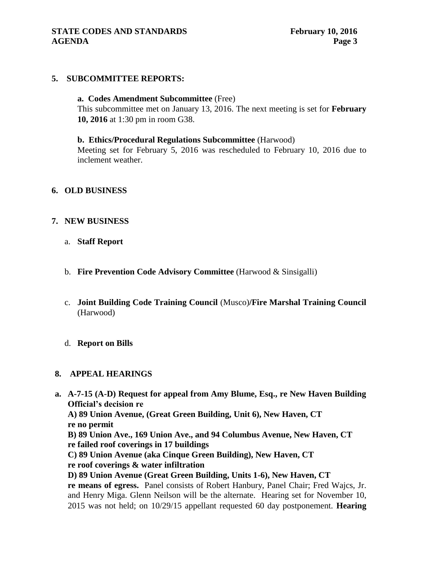## **STATE CODES AND STANDARDS** February 10, 2016 **AGENDA** Page 3

### **5. SUBCOMMITTEE REPORTS:**

**a. Codes Amendment Subcommittee** (Free) This subcommittee met on January 13, 2016. The next meeting is set for **February 10, 2016** at 1:30 pm in room G38.

**b. Ethics/Procedural Regulations Subcommittee** (Harwood) Meeting set for February 5, 2016 was rescheduled to February 10, 2016 due to inclement weather.

## **6. OLD BUSINESS**

## **7. NEW BUSINESS**

- a. **Staff Report**
- b. **Fire Prevention Code Advisory Committee** (Harwood & Sinsigalli)
- c. **Joint Building Code Training Council** (Musco)**/Fire Marshal Training Council**  (Harwood)

#### d. **Report on Bills**

#### **8. APPEAL HEARINGS**

**a. A-7-15 (A-D) Request for appeal from Amy Blume, Esq., re New Haven Building Official's decision re** 

**A) 89 Union Avenue, (Great Green Building, Unit 6), New Haven, CT re no permit**

**B) 89 Union Ave., 169 Union Ave., and 94 Columbus Avenue, New Haven, CT** 

- **re failed roof coverings in 17 buildings**
- **C) 89 Union Avenue (aka Cinque Green Building), New Haven, CT re roof coverings & water infiltration**
- **D) 89 Union Avenue (Great Green Building, Units 1-6), New Haven, CT**

**re means of egress.** Panel consists of Robert Hanbury, Panel Chair; Fred Wajcs, Jr. and Henry Miga. Glenn Neilson will be the alternate.Hearing set for November 10, 2015 was not held; on 10/29/15 appellant requested 60 day postponement. **Hearing**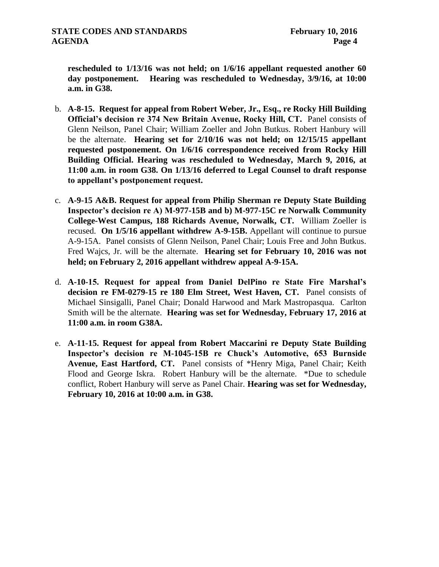**rescheduled to 1/13/16 was not held; on 1/6/16 appellant requested another 60 day postponement. Hearing was rescheduled to Wednesday, 3/9/16, at 10:00 a.m. in G38.** 

- b. **A-8-15. Request for appeal from Robert Weber, Jr., Esq., re Rocky Hill Building Official's decision re 374 New Britain Avenue, Rocky Hill, CT.** Panel consists of Glenn Neilson, Panel Chair; William Zoeller and John Butkus. Robert Hanbury will be the alternate. **Hearing set for 2/10/16 was not held; on 12/15/15 appellant requested postponement. On 1/6/16 correspondence received from Rocky Hill Building Official. Hearing was rescheduled to Wednesday, March 9, 2016, at 11:00 a.m. in room G38. On 1/13/16 deferred to Legal Counsel to draft response to appellant's postponement request.**
- c. **A-9-15 A&B. Request for appeal from Philip Sherman re Deputy State Building Inspector's decision re A) M-977-15B and b) M-977-15C re Norwalk Community College-West Campus, 188 Richards Avenue, Norwalk, CT.** William Zoeller is recused. **On 1/5/16 appellant withdrew A-9-15B.** Appellant will continue to pursue A-9-15A. Panel consists of Glenn Neilson, Panel Chair; Louis Free and John Butkus. Fred Wajcs, Jr. will be the alternate. **Hearing set for February 10, 2016 was not held; on February 2, 2016 appellant withdrew appeal A-9-15A.**
- d. **A-10-15. Request for appeal from Daniel DelPino re State Fire Marshal's decision re FM-0279-15 re 180 Elm Street, West Haven, CT.** Panel consists of Michael Sinsigalli, Panel Chair; Donald Harwood and Mark Mastropasqua. Carlton Smith will be the alternate. **Hearing was set for Wednesday, February 17, 2016 at 11:00 a.m. in room G38A.**
- e. **A-11-15. Request for appeal from Robert Maccarini re Deputy State Building Inspector's decision re M-1045-15B re Chuck's Automotive, 653 Burnside Avenue, East Hartford, CT.** Panel consists of \*Henry Miga, Panel Chair; Keith Flood and George Iskra. Robert Hanbury will be the alternate. \*Due to schedule conflict, Robert Hanbury will serve as Panel Chair. **Hearing was set for Wednesday, February 10, 2016 at 10:00 a.m. in G38.**